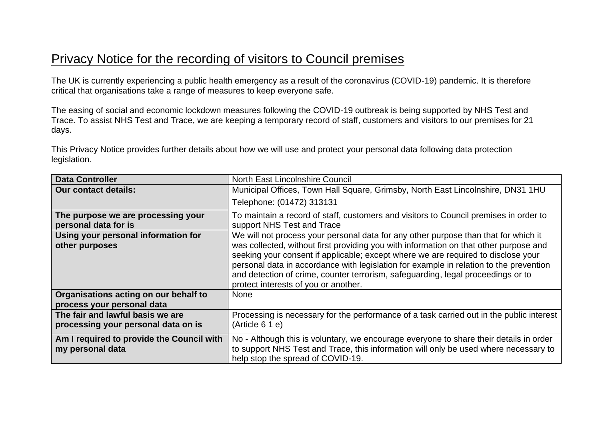## Privacy Notice for the recording of visitors to Council premises

The UK is currently experiencing a public health emergency as a result of the coronavirus (COVID-19) pandemic. It is therefore critical that organisations take a range of measures to keep everyone safe.

The easing of social and economic lockdown measures following the COVID-19 outbreak is being supported by NHS Test and Trace. To assist NHS Test and Trace, we are keeping a temporary record of staff, customers and visitors to our premises for 21 days.

This Privacy Notice provides further details about how we will use and protect your personal data following data protection legislation.

| <b>Data Controller</b>                                                  | North East Lincolnshire Council                                                                                                                                                                                                                                                                                                                                                                                                                                                         |
|-------------------------------------------------------------------------|-----------------------------------------------------------------------------------------------------------------------------------------------------------------------------------------------------------------------------------------------------------------------------------------------------------------------------------------------------------------------------------------------------------------------------------------------------------------------------------------|
| <b>Our contact details:</b>                                             | Municipal Offices, Town Hall Square, Grimsby, North East Lincolnshire, DN31 1HU                                                                                                                                                                                                                                                                                                                                                                                                         |
|                                                                         | Telephone: (01472) 313131                                                                                                                                                                                                                                                                                                                                                                                                                                                               |
| The purpose we are processing your<br>personal data for is              | To maintain a record of staff, customers and visitors to Council premises in order to<br>support NHS Test and Trace                                                                                                                                                                                                                                                                                                                                                                     |
| Using your personal information for<br>other purposes                   | We will not process your personal data for any other purpose than that for which it<br>was collected, without first providing you with information on that other purpose and<br>seeking your consent if applicable; except where we are required to disclose your<br>personal data in accordance with legislation for example in relation to the prevention<br>and detection of crime, counter terrorism, safeguarding, legal proceedings or to<br>protect interests of you or another. |
| Organisations acting on our behalf to<br>process your personal data     | <b>None</b>                                                                                                                                                                                                                                                                                                                                                                                                                                                                             |
| The fair and lawful basis we are<br>processing your personal data on is | Processing is necessary for the performance of a task carried out in the public interest<br>$(Ar$ ticle 6 1 e)                                                                                                                                                                                                                                                                                                                                                                          |
| Am I required to provide the Council with<br>my personal data           | No - Although this is voluntary, we encourage everyone to share their details in order<br>to support NHS Test and Trace, this information will only be used where necessary to<br>help stop the spread of COVID-19.                                                                                                                                                                                                                                                                     |